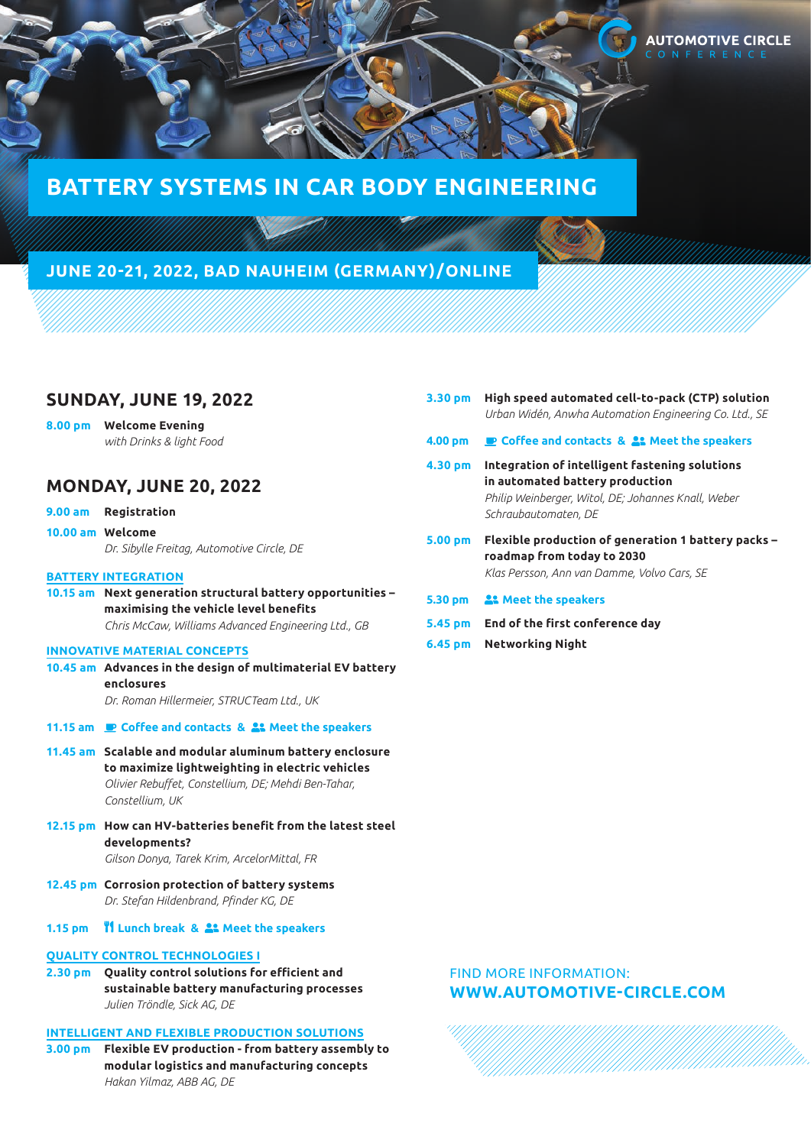

# **BATTERY SYSTEMS IN CAR BODY ENGINEERING**

# **JUNE 20-21, 2022, BAD NAUHEIM (GERMANY)/ONLINE**

## **SUNDAY, JUNE 19, 2022**

**8.00 pm Welcome Evening**  *with Drinks & light Food*

# **MONDAY, JUNE 20, 2022**

- **9.00 am Registration**
- **10.00 am Welcome** *Dr. Sibylle Freitag, Automotive Circle, DE*

### **BATTERY INTEGRATION**

**10.15 am Next generation structural battery opportunities – maximising the vehicle level benefits** *Chris McCaw, Williams Advanced Engineering Ltd., GB*

### **INNOVATIVE MATERIAL CONCEPTS**

- **10.45 am Advances in the design of multimaterial EV battery enclosures** *Dr. Roman Hillermeier, STRUCTeam Ltd., UK*
- **11.15 am Coffee and contacts & Meet the speakers**
- **11.45 am Scalable and modular aluminum battery enclosure to maximize lightweighting in electric vehicles** *Olivier Rebuffet, Constellium, DE; Mehdi Ben-Tahar, Constellium, UK*
- **12.15 pm How can HV-batteries benefit from the latest steel developments?** *Gilson Donya, Tarek Krim, ArcelorMittal, FR*
- **12.45 pm Corrosion protection of battery systems** *Dr. Stefan Hildenbrand, Pfinder KG, DE*
- **1.15 pm Lunch break & Meet the speakers**

### **QUALITY CONTROL TECHNOLOGIES I**

**2.30 pm Quality control solutions for efficient and sustainable battery manufacturing processes** *Julien Tröndle, Sick AG, DE*

### **INTELLIGENT AND FLEXIBLE PRODUCTION SOLUTIONS**

**3.00 pm Flexible EV production - from battery assembly to modular logistics and manufacturing concepts** *Hakan Yilmaz, ABB AG, DE*

- **3.30 pm High speed automated cell-to-pack (CTP) solution** *Urban Widén, Anwha Automation Engineering Co. Ltd., SE*
- **4.00 pm Coffee and contacts & Meet the speakers**
- **4.30 pm Integration of intelligent fastening solutions in automated battery production** *Philip Weinberger, Witol, DE; Johannes Knall, Weber Schraubautomaten, DE*
- **5.00 pm Flexible production of generation 1 battery packs roadmap from today to 2030** *Klas Persson, Ann van Damme, Volvo Cars, SE*
- **5.30 pm Meet the speakers**
- **5.45 pm End of the first conference day**
- **6.45 pm Networking Night**

### FIND MORE INFORMATION: **[WWW.AUTOMOTIVE-CIRCLE.COM](https://www.automotive-circle.com/)**